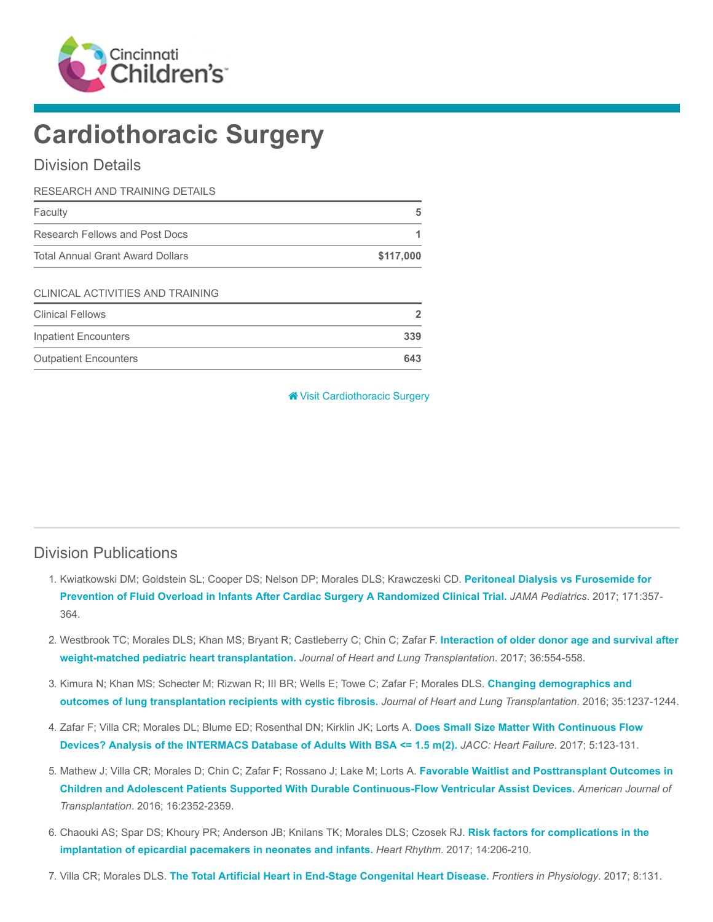

# Cardiothoracic Surgery

## Division Details

| RESEARCH AND TRAINING DETAILS           |           |  |  |
|-----------------------------------------|-----------|--|--|
| Faculty                                 | 5         |  |  |
| Research Fellows and Post Docs          |           |  |  |
| <b>Total Annual Grant Award Dollars</b> | \$117,000 |  |  |
|                                         |           |  |  |

#### CLINICAL ACTIVITIES AND TRAINING

| <b>Clinical Fellows</b>      |     |
|------------------------------|-----|
| Inpatient Encounters         | 339 |
| <b>Outpatient Encounters</b> | 643 |

**<sup>\*</sup>** [Visit Cardiothoracic Surgery](https://www.cincinnatichildrens.org/research/divisions/c/cardiothoracic)

## Division Publications

- 1. [Kwiatkowski DM; Goldstein SL; Cooper DS; Nelson DP; Morales DLS; Krawczeski CD.](https://www.ncbi.nlm.nih.gov/pubmed/28241247) Peritoneal Dialysis vs Furosemide for Prevention of Fluid Overload in Infants After Cardiac Surgery A Randomized Clinical Trial. JAMA Pediatrics. 2017; 171:357- 364.
- 2. [Westbrook TC; Morales DLS; Khan MS; Bryant R; Castleberry C; Chin C; Zafar F.](https://www.ncbi.nlm.nih.gov/pubmed/28073609) Interaction of older donor age and survival after weight-matched pediatric heart transplantation. Journal of Heart and Lung Transplantation. 2017; 36:554-558.
- 3. [Kimura N; Khan MS; Schecter M; Rizwan R; III BR; Wells E; Towe C; Zafar F; Morales DLS.](https://www.ncbi.nlm.nih.gov/pubmed/27373821) Changing demographics and outcomes of lung transplantation recipients with cystic fibrosis. Journal of Heart and Lung Transplantation. 2016; 35:1237-1244.
- 4. [Zafar F; Villa CR; Morales DL; Blume ED; Rosenthal DN; Kirklin JK; Lorts A.](https://www.ncbi.nlm.nih.gov/pubmed/27816511) Does Small Size Matter With Continuous Flow Devices? Analysis of the INTERMACS Database of Adults With BSA <= 1.5 m(2). JACC: Heart Failure. 2017; 5:123-131.
- 5. Mathew J; Villa CR; Morales D; Chin C; Zafar F; Rossano J; Lake M; Lorts A. Favorable Waitlist and Posttransplant Outcomes in [Children and Adolescent Patients Supported With Durable Continuous-Flow Ventricular Assist Devices.](https://www.ncbi.nlm.nih.gov/pubmed/26841727) American Journal of Transplantation. 2016; 16:2352-2359.
- 6. [Chaouki AS; Spar DS; Khoury PR; Anderson JB; Knilans TK; Morales DLS; Czosek RJ.](https://www.ncbi.nlm.nih.gov/pubmed/27756705) Risk factors for complications in the implantation of epicardial pacemakers in neonates and infants. Heart Rhythm. 2017; 14:206-210.
- 7. Villa CR; Morales DLS. [The Total Artificial Heart in End-Stage Congenital Heart Disease.](https://www.ncbi.nlm.nih.gov/pubmed/28536530) Frontiers in Physiology. 2017; 8:131.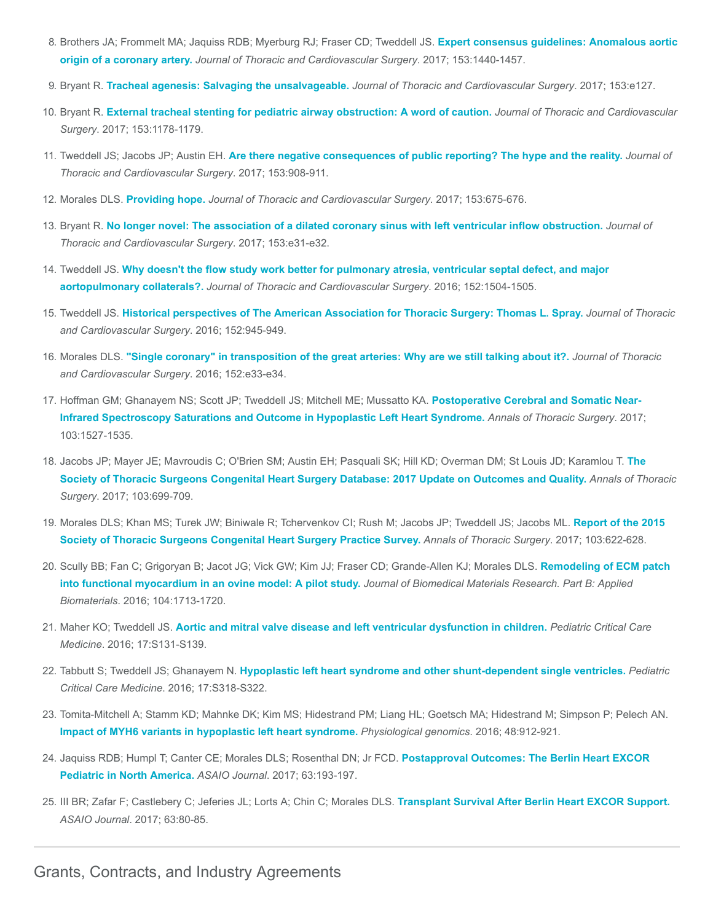- 8. [Brothers JA; Frommelt MA; Jaquiss RDB; Myerburg RJ; Fraser CD; Tweddell JS.](https://www.ncbi.nlm.nih.gov/pubmed/28274557) Expert consensus guidelines: Anomalous aortic origin of a coronary artery. Journal of Thoracic and Cardiovascular Surgery. 2017; 153:1440-1457.
- 9. Bryant R. [Tracheal agenesis: Salvaging the unsalvageable.](https://www.ncbi.nlm.nih.gov/pubmed/28242020) Journal of Thoracic and Cardiovascular Surgery. 2017; 153:e127.
- 10. Bryant R. [External tracheal stenting for pediatric airway obstruction: A word of caution.](https://www.ncbi.nlm.nih.gov/pubmed/28237064) Journal of Thoracic and Cardiovascular Surgery. 2017; 153:1178-1179.
- 11. Tweddell JS; Jacobs JP; Austin EH. [Are there negative consequences of public reporting? The hype and the reality.](https://www.ncbi.nlm.nih.gov/pubmed/28359373) Journal of Thoracic and Cardiovascular Surgery. 2017; 153:908-911.
- 12. Morales DLS. [Providing hope.](https://www.ncbi.nlm.nih.gov/pubmed/28341298) Journal of Thoracic and Cardiovascular Surgery. 2017; 153:675-676.
- 13. Bryant R. [No longer novel: The association of a dilated coronary sinus with left ventricular inflow obstruction.](https://www.ncbi.nlm.nih.gov/pubmed/27866782) Journal of Thoracic and Cardiovascular Surgery. 2017; 153:e31-e32.
- 14. Tweddell JS. [Why doesn't the flow study work better for pulmonary atresia, ventricular septal defect, and major](https://www.ncbi.nlm.nih.gov/pubmed/27692956) aortopulmonary collaterals?. Journal of Thoracic and Cardiovascular Surgery. 2016; 152:1504-1505.
- 15. Tweddell JS. [Historical perspectives of The American Association for Thoracic Surgery: Thomas L. Spray.](https://www.ncbi.nlm.nih.gov/pubmed/27449354) Journal of Thoracic and Cardiovascular Surgery. 2016; 152:945-949.
- 16. Morales DLS. ["Single coronary" in transposition of the great arteries: Why are we still talking about it?.](https://www.ncbi.nlm.nih.gov/pubmed/27131848) Journal of Thoracic and Cardiovascular Surgery. 2016; 152:e33-e34.
- 17. Hoffman GM; Ghanayem NS; Scott JP; Tweddell JS; Mitchell ME; Mussatto KA. Postoperative Cerebral and Somatic Near-[Infrared Spectroscopy Saturations and Outcome in Hypoplastic Left Heart Syndrome.](https://www.ncbi.nlm.nih.gov/pubmed/28012642) Annals of Thoracic Surgery. 2017; 103:1527-1535.
- 18. [Jacobs JP; Mayer JE; Mavroudis C; O'Brien SM; Austin EH; Pasquali SK; Hill KD; Overman DM; St Louis JD; Karamlou T.](https://www.ncbi.nlm.nih.gov/pubmed/28219544) The Society of Thoracic Surgeons Congenital Heart Surgery Database: 2017 Update on Outcomes and Quality. Annals of Thoracic Surgery. 2017; 103:699-709.
- 19. [Morales DLS; Khan MS; Turek JW; Biniwale R; Tchervenkov CI; Rush M; Jacobs JP; Tweddell JS; Jacobs ML.](https://www.ncbi.nlm.nih.gov/pubmed/27553498) Report of the 2015 Society of Thoracic Surgeons Congenital Heart Surgery Practice Survey. Annals of Thoracic Surgery. 2017; 103:622-628.
- 20. [Scully BB; Fan C; Grigoryan B; Jacot JG; Vick GW; Kim JJ; Fraser CD; Grande-Allen KJ; Morales DLS.](https://www.ncbi.nlm.nih.gov/pubmed/26348258) Remodeling of ECM patch into functional myocardium in an ovine model: A pilot study. Journal of Biomedical Materials Research. Part B: Applied Biomaterials. 2016; 104:1713-1720.
- 21. Maher KO; Tweddell JS. [Aortic and mitral valve disease and left ventricular dysfunction in children.](https://www.ncbi.nlm.nih.gov/pubmed/27490591) Pediatric Critical Care Medicine. 2016; 17:S131-S139.
- 22. Tabbutt S; Tweddell JS; Ghanayem N. [Hypoplastic left heart syndrome and other shunt-dependent single ventricles.](https://www.ncbi.nlm.nih.gov/pubmed/27490617) Pediatric Critical Care Medicine. 2016; 17:S318-S322.
- 23. Tomita-Mitchell A; Stamm KD; Mahnke DK; Kim MS; Hidestrand PM; Liang HL; Goetsch MA; Hidestrand M; Simpson P; Pelech AN. [Impact of MYH6 variants in hypoplastic left heart syndrome.](https://www.ncbi.nlm.nih.gov/pubmed/27789736) Physiological genomics. 2016; 48:912-921.
- 24. [Jaquiss RDB; Humpl T; Canter CE; Morales DLS; Rosenthal DN; Jr FCD.](https://www.ncbi.nlm.nih.gov/pubmed/28234657) Postapproval Outcomes: The Berlin Heart EXCOR Pediatric in North America. ASAIO Journal. 2017; 63:193-197.
- 25. III BR; Zafar F; Castlebery C; Jeferies JL; Lorts A; Chin C; Morales DLS. [Transplant Survival After Berlin Heart EXCOR Support.](https://www.ncbi.nlm.nih.gov/pubmed/27660899) ASAIO Journal. 2017; 63:80-85.